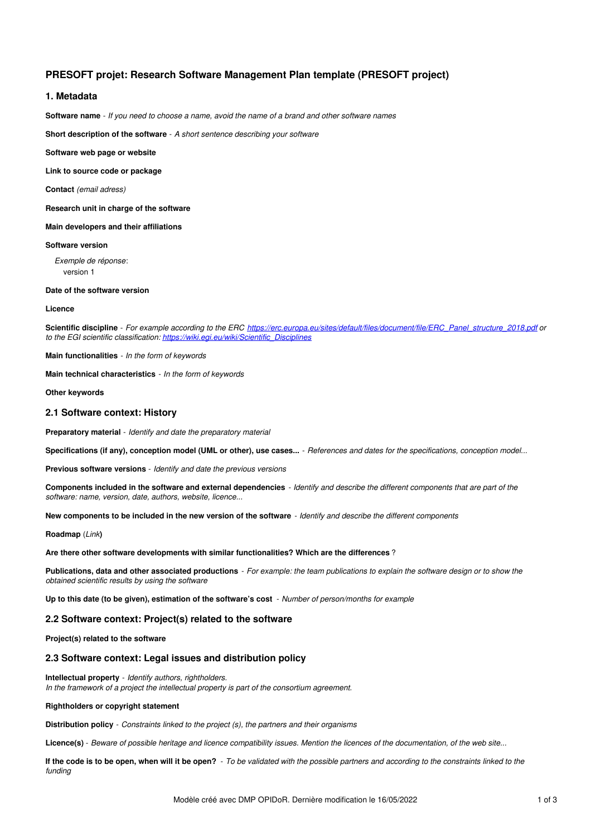# **PRESOFT projet: Research Software Management Plan template (PRESOFT project)**

# **1. Metadata**

Software name - If you need to choose a name, avoid the name of a brand and other software names

**Short description of the software** - *A short sentence describing your software*

#### **Software web page or website**

**Link to source code or package**

**Contact** *(email adress)*

**Research unit in charge of the software**

**Main developers and their affiliations**

## **Software version**

*Exemple de réponse*: version 1

### **Date of the software version**

#### **Licence**

**Scientific discipline** - *For example according to the ERC [https://erc.europa.eu/sites/default/files/document/file/ERC\\_Panel\\_structure\\_2018.pdf](https://erc.europa.eu/sites/default/files/document/file/ERC_Panel_structure_2018.pdf) or to the EGI scientific classification: [https://wiki.egi.eu/wiki/Scientific\\_Disciplines](https://wiki.egi.eu/wiki/Scientific_Disciplines)*

**Main functionalities** - *In the form of keywords*

**Main technical characteristics** - *In the form of keywords*

#### **Other keywords**

## **2.1 Software context: History**

**Preparatory material** - *Identify and date the preparatory material*

Specifications (if any), conception model (UML or other), use cases... - References and dates for the specifications, conception model...

**Previous software versions** - *Identify and date the previous versions*

Components included in the software and external dependencies - Identify and describe the different components that are part of the *software: name, version, date, authors, website, licence...*

New components to be included in the new version of the software - Identify and describe the different components

### **Roadmap** (*Link***)**

**Are there other software developments with similar functionalities? Which are the differences** ?

Publications, data and other associated productions - For example: the team publications to explain the software design or to show the *obtained scientific results by using the software*

**Up to this date (to be given), estimation of the software's cost** - *Number of person/months for example*

# **2.2 Software context: Project(s) related to the software**

## **Project(s) related to the software**

# **2.3 Software context: Legal issues and distribution policy**

**Intellectual property** - *Identify authors, rightholders. In the framework of a project the intellectual property is part of the consortium agreement.*

#### **Rightholders or copyright statement**

**Distribution policy** - *Constraints linked to the project (s), the partners and their organisms*

Licence(s) - Beware of possible heritage and licence compatibility issues. Mention the licences of the documentation, of the web site...

If the code is to be open, when will it be open? - To be validated with the possible partners and according to the constraints linked to the *funding*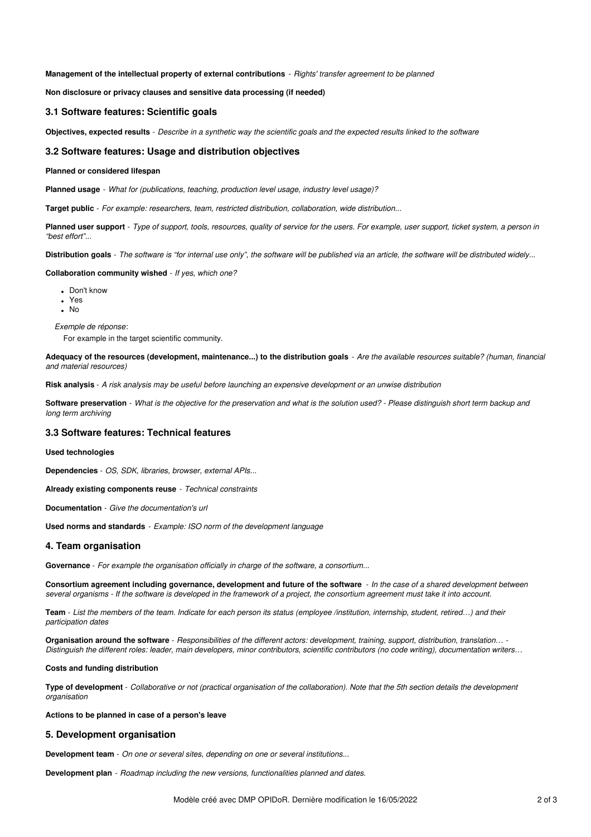**Management of the intellectual property of external contributions** - *Rights' transfer agreement to be planned*

**Non disclosure or privacy clauses and sensitive data processing (if needed)**

## **3.1 Software features: Scientific goals**

Objectives, expected results - Describe in a synthetic way the scientific goals and the expected results linked to the software

## **3.2 Software features: Usage and distribution objectives**

### **Planned or considered lifespan**

**Planned usage** - *What for (publications, teaching, production level usage, industry level usage)?*

**Target public** - *For example: researchers, team, restricted distribution, collaboration, wide distribution...*

Planned user support - Type of support, tools, resources, quality of service for the users. For example, user support, ticket system, a person in *"best effort"...*

Distribution goals - The software is "for internal use only", the software will be published via an article, the software will be distributed widely...

**Collaboration community wished** - *If yes, which one?*

- Don't know
- Yes
- $\cdot$  No

*Exemple de réponse*:

For example in the target scientific community.

Adequacy of the resources (development, maintenance...) to the distribution goals - Are the available resources suitable? (human, financial *and material resources)*

Risk analysis - A risk analysis may be useful before launching an expensive development or an unwise distribution

Software preservation - What is the objective for the preservation and what is the solution used? - Please distinguish short term backup and *long term archiving*

# **3.3 Software features: Technical features**

## **Used technologies**

**Dependencies** - *OS, SDK, libraries, browser, external APIs...*

**Already existing components reuse** - *Technical constraints*

**Documentation** - *Give the documentation's url*

**Used norms and standards** - *Example: ISO norm of the development language*

## **4. Team organisation**

**Governance** - *For example the organisation officially in charge of the software, a consortium...*

Consortium agreement including governance, development and future of the software - In the case of a shared development between several organisms - If the software is developed in the framework of a project, the consortium agreement must take it into account.

Team - List the members of the team. Indicate for each person its status (employee /institution, internship, student, retired...) and their *participation dates*

Organisation around the software - Responsibilities of the different actors: development, training, support, distribution, translation... -Distinguish the different roles: leader, main developers, minor contributors, scientific contributors (no code writing), documentation writers...

#### **Costs and funding distribution**

Type of development - Collaborative or not (practical organisation of the collaboration). Note that the 5th section details the development *organisation*

**Actions to be planned in case of a person's leave**

## **5. Development organisation**

**Development team** - *On one or several sites, depending on one or several institutions...*

**Development plan** - *Roadmap including the new versions, functionalities planned and dates.*